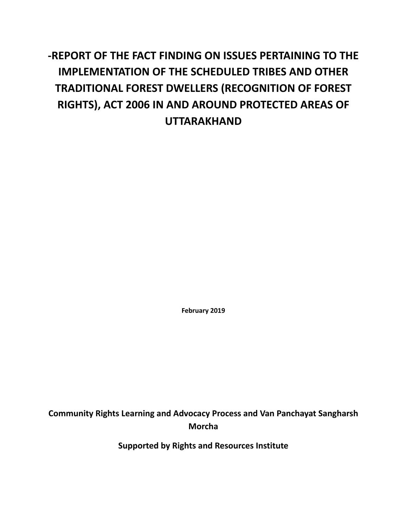# **-REPORT OF THE FACT FINDING ON ISSUES PERTAINING TO THE IMPLEMENTATION OF THE SCHEDULED TRIBES AND OTHER TRADITIONAL FOREST DWELLERS (RECOGNITION OF FOREST RIGHTS), ACT 2006 IN AND AROUND PROTECTED AREAS OF UTTARAKHAND**

**February 2019**

**Community Rights Learning and Advocacy Process and Van Panchayat Sangharsh Morcha**

**Supported by Rights and Resources Institute**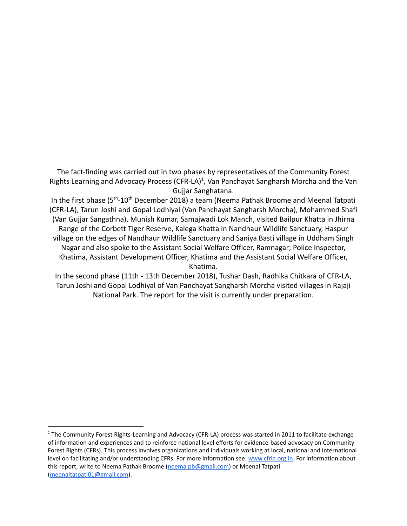The fact-finding was carried out in two phases by representatives of the Community Forest Rights Learning and Advocacy Process (CFR-LA)<sup>1</sup>, Van Panchayat Sangharsh Morcha and the Van Gujjar Sanghatana.

In the first phase (5<sup>th</sup>-10<sup>th</sup> December 2018) a team (Neema Pathak Broome and Meenal Tatpati (CFR-LA), Tarun Joshi and Gopal Lodhiyal (Van Panchayat Sangharsh Morcha), Mohammed Shafi (Van Gujjar Sangathna), Munish Kumar, Samajwadi Lok Manch, visited Bailpur Khatta in Jhirna Range of the Corbett Tiger Reserve, Kalega Khatta in Nandhaur Wildlife Sanctuary, Haspur village on the edges of Nandhaur Wildlife Sanctuary and Saniya Basti village in Uddham Singh Nagar and also spoke to the Assistant Social Welfare Officer, Ramnagar; Police Inspector, Khatima, Assistant Development Officer, Khatima and the Assistant Social Welfare Officer, Khatima.

In the second phase (11th - 13th December 2018), Tushar Dash, Radhika Chitkara of CFR-LA, Tarun Joshi and Gopal Lodhiyal of Van Panchayat Sangharsh Morcha visited villages in Rajaji National Park. The report for the visit is currently under preparation.

<sup>&</sup>lt;sup>1</sup> The Community Forest Rights-Learning and Advocacy (CFR-LA) process was started in 2011 to facilitate exchange of information and experiences and to reinforce national level efforts for evidence-based advocacy on Community Forest Rights (CFRs). This process involves organizations and individuals working at local, national and international level on facilitating and/or understanding CFRs. For more information see: [www.cfrla.org.in.](http://www.cfrla.org.in) For information about this report, write to Neema Pathak Broome ([neema.pb@gmail.com](mailto:neema.pb@gmail.com)) or Meenal Tatpati [\(meenaltatpati01@gmail.com](mailto:meenaltatpati01@gmail.com)).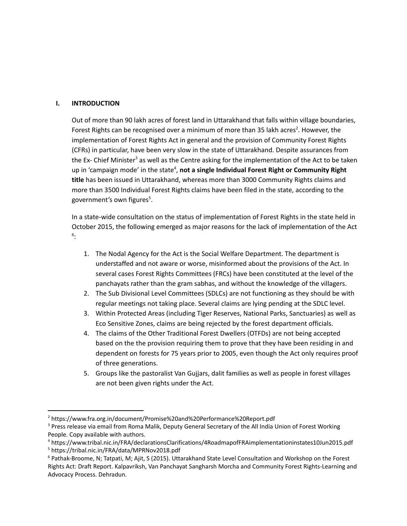#### **I. INTRODUCTION**

Out of more than 90 lakh acres of forest land in Uttarakhand that falls within village boundaries, Forest Rights can be recognised over a minimum of more than 35 lakh acres<sup>2</sup>. However, the implementation of Forest Rights Act in general and the provision of Community Forest Rights (CFRs) in particular, have been very slow in the state of Uttarakhand. Despite assurances from the Ex- Chief Minister<sup>3</sup> as well as the Centre asking for the implementation of the Act to be taken up in 'campaign mode' in the state<sup>4</sup>, not a single Individual Forest Right or Community Right **title** has been issued in Uttarakhand, whereas more than 3000 Community Rights claims and more than 3500 Individual Forest Rights claims have been filed in the state, according to the government's own figures<sup>5</sup>.

In a state-wide consultation on the status of implementation of Forest Rights in the state held in October 2015, the following emerged as major reasons for the lack of implementation of the Act : 6

- 1. The Nodal Agency for the Act is the Social Welfare Department. The department is understaffed and not aware or worse, misinformed about the provisions of the Act. In several cases Forest Rights Committees (FRCs) have been constituted at the level of the panchayats rather than the gram sabhas, and without the knowledge of the villagers.
- 2. The Sub Divisional Level Committees (SDLCs) are not functioning as they should be with regular meetings not taking place. Several claims are lying pending at the SDLC level.
- 3. Within Protected Areas (including Tiger Reserves, National Parks, Sanctuaries) as well as Eco Sensitive Zones, claims are being rejected by the forest department officials.
- 4. The claims of the Other Traditional Forest Dwellers (OTFDs) are not being accepted based on the the provision requiring them to prove that they have been residing in and dependent on forests for 75 years prior to 2005, even though the Act only requires proof of three generations.
- 5. Groups like the pastoralist Van Gujjars, dalit families as well as people in forest villages are not been given rights under the Act.

<sup>2</sup> https://www.fra.org.in/document/Promise%20and%20Performance%20Report.pdf

<sup>&</sup>lt;sup>3</sup> Press release via email from Roma Malik, Deputy General Secretary of the All India Union of Forest Working People. Copy available with authors.

<sup>5</sup> https://tribal.nic.in/FRA/data/MPRNov2018.pdf <sup>4</sup> https://www.tribal.nic.in/FRA/declarationsClarifications/4RoadmapofFRAimplementationinstates10Jun2015.pdf

<sup>6</sup> Pathak-Broome, N; Tatpati, M; Ajit, S (2015). Uttarakhand State Level Consultation and Workshop on the Forest Rights Act: Draft Report. Kalpavriksh, Van Panchayat Sangharsh Morcha and Community Forest Rights-Learning and Advocacy Process. Dehradun.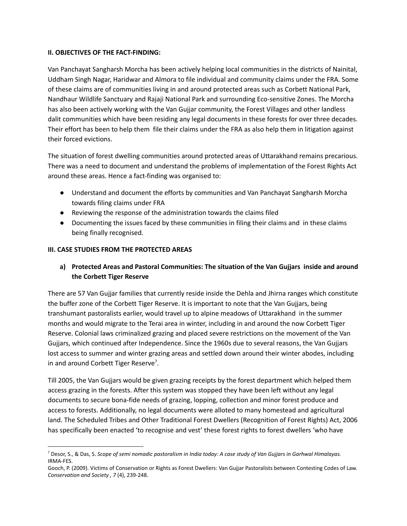#### **II. OBJECTIVES OF THE FACT-FINDING:**

Van Panchayat Sangharsh Morcha has been actively helping local communities in the districts of Nainital, Uddham Singh Nagar, Haridwar and Almora to file individual and community claims under the FRA. Some of these claims are of communities living in and around protected areas such as Corbett National Park, Nandhaur Wildlife Sanctuary and Rajaji National Park and surrounding Eco-sensitive Zones. The Morcha has also been actively working with the Van Gujjar community, the Forest Villages and other landless dalit communities which have been residing any legal documents in these forests for over three decades. Their effort has been to help them file their claims under the FRA as also help them in litigation against their forced evictions.

The situation of forest dwelling communities around protected areas of Uttarakhand remains precarious. There was a need to document and understand the problems of implementation of the Forest Rights Act around these areas. Hence a fact-finding was organised to:

- Understand and document the efforts by communities and Van Panchayat Sangharsh Morcha towards filing claims under FRA
- Reviewing the response of the administration towards the claims filed
- Documenting the issues faced by these communities in filing their claims and in these claims being finally recognised.

## **III. CASE STUDIES FROM THE PROTECTED AREAS**

**a) Protected Areas and Pastoral Communities: The situation of the Van Gujjars inside and around the Corbett Tiger Reserve**

There are 57 Van Gujjar families that currently reside inside the Dehla and Jhirna ranges which constitute the buffer zone of the Corbett Tiger Reserve. It is important to note that the Van Gujjars, being transhumant pastoralists earlier, would travel up to alpine meadows of Uttarakhand in the summer months and would migrate to the Terai area in winter, including in and around the now Corbett Tiger Reserve. Colonial laws criminalized grazing and placed severe restrictions on the movement of the Van Gujjars, which continued after Independence. Since the 1960s due to several reasons, the Van Gujjars lost access to summer and winter grazing areas and settled down around their winter abodes, including in and around Corbett Tiger Reserve<sup>7</sup>.

Till 2005, the Van Gujjars would be given grazing receipts by the forest department which helped them access grazing in the forests. After this system was stopped they have been left without any legal documents to secure bona-fide needs of grazing, lopping, collection and minor forest produce and access to forests. Additionally, no legal documents were alloted to many homestead and agricultural land. The Scheduled Tribes and Other Traditional Forest Dwellers (Recognition of Forest Rights) Act, 2006 has specifically been enacted 'to recognise and vest' these forest rights to forest dwellers 'who have

<sup>7</sup> Desor, S., & Das, S. *Scope of semi nomadic pastoralism in India today: A case study of Van Gujjars in Garhwal Himalayas.* IRMA-FES.

Gooch, P. (2009). Victims of Conservation or Rights as Forest Dwellers: Van Gujjar Pastoralists between Contesting Codes of Law. *Conservation and Society , 7* (4), 239-248.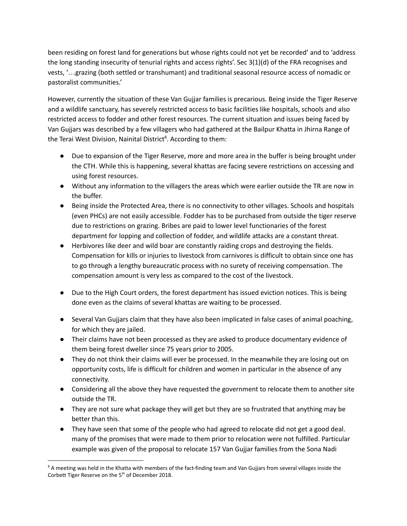been residing on forest land for generations but whose rights could not yet be recorded' and to 'address the long standing insecurity of tenurial rights and access rights'. Sec 3(1)(d) of the FRA recognises and vests, '…grazing (both settled or transhumant) and traditional seasonal resource access of nomadic or pastoralist communities.'

However, currently the situation of these Van Gujjar families is precarious. Being inside the Tiger Reserve and a wildlife sanctuary, has severely restricted access to basic facilities like hospitals, schools and also restricted access to fodder and other forest resources. The current situation and issues being faced by Van Gujjars was described by a few villagers who had gathered at the Bailpur Khatta in Jhirna Range of the Terai West Division, Nainital District<sup>8</sup>. According to them:

- Due to expansion of the Tiger Reserve, more and more area in the buffer is being brought under the CTH. While this is happening, several khattas are facing severe restrictions on accessing and using forest resources.
- Without any information to the villagers the areas which were earlier outside the TR are now in the buffer.
- Being inside the Protected Area, there is no connectivity to other villages. Schools and hospitals (even PHCs) are not easily accessible. Fodder has to be purchased from outside the tiger reserve due to restrictions on grazing. Bribes are paid to lower level functionaries of the forest department for lopping and collection of fodder, and wildlife attacks are a constant threat.
- Herbivores like deer and wild boar are constantly raiding crops and destroying the fields. Compensation for kills or injuries to livestock from carnivores is difficult to obtain since one has to go through a lengthy bureaucratic process with no surety of receiving compensation. The compensation amount is very less as compared to the cost of the livestock.
- Due to the High Court orders, the forest department has issued eviction notices. This is being done even as the claims of several khattas are waiting to be processed.
- Several Van Gujjars claim that they have also been implicated in false cases of animal poaching, for which they are jailed.
- Their claims have not been processed as they are asked to produce documentary evidence of them being forest dweller since 75 years prior to 2005.
- They do not think their claims will ever be processed. In the meanwhile they are losing out on opportunity costs, life is difficult for children and women in particular in the absence of any connectivity.
- Considering all the above they have requested the government to relocate them to another site outside the TR.
- They are not sure what package they will get but they are so frustrated that anything may be better than this.
- They have seen that some of the people who had agreed to relocate did not get a good deal. many of the promises that were made to them prior to relocation were not fulfilled. Particular example was given of the proposal to relocate 157 Van Gujjar families from the Sona Nadi

<sup>&</sup>lt;sup>8</sup> A meeting was held in the Khatta with members of the fact-finding team and Van Gujjars from several villages inside the Corbett Tiger Reserve on the 5<sup>th</sup> of December 2018.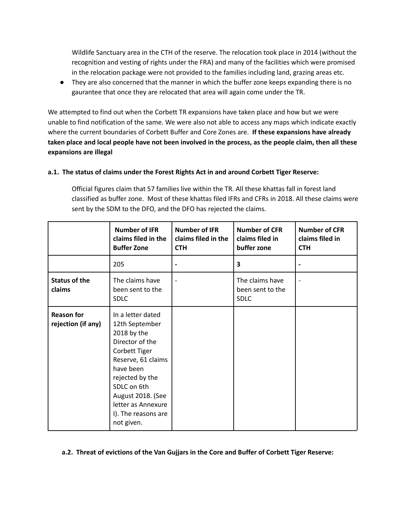Wildlife Sanctuary area in the CTH of the reserve. The relocation took place in 2014 (without the recognition and vesting of rights under the FRA) and many of the facilities which were promised in the relocation package were not provided to the families including land, grazing areas etc.

● They are also concerned that the manner in which the buffer zone keeps expanding there is no gaurantee that once they are relocated that area will again come under the TR.

We attempted to find out when the Corbett TR expansions have taken place and how but we were unable to find notification of the same. We were also not able to access any maps which indicate exactly where the current boundaries of Corbett Buffer and Core Zones are. **If these expansions have already** taken place and local people have not been involved in the process, as the people claim, then all these **expansions are illegal**

## **a.1. The status of claims under the Forest Rights Act in and around Corbett Tiger Reserve:**

Official figures claim that 57 families live within the TR. All these khattas fall in forest land classified as buffer zone. Most of these khattas filed IFRs and CFRs in 2018. All these claims were sent by the SDM to the DFO, and the DFO has rejected the claims.

|                                         | <b>Number of IFR</b><br>claims filed in the<br><b>Buffer Zone</b>                                                                                                                                                                           | <b>Number of IFR</b><br>claims filed in the<br><b>CTH</b> | <b>Number of CFR</b><br>claims filed in<br>buffer zone | <b>Number of CFR</b><br>claims filed in<br><b>CTH</b> |
|-----------------------------------------|---------------------------------------------------------------------------------------------------------------------------------------------------------------------------------------------------------------------------------------------|-----------------------------------------------------------|--------------------------------------------------------|-------------------------------------------------------|
|                                         | 205                                                                                                                                                                                                                                         |                                                           | 3                                                      |                                                       |
| <b>Status of the</b><br>claims          | The claims have<br>been sent to the<br><b>SDLC</b>                                                                                                                                                                                          |                                                           | The claims have<br>been sent to the<br><b>SDLC</b>     |                                                       |
| <b>Reason for</b><br>rejection (if any) | In a letter dated<br>12th September<br>2018 by the<br>Director of the<br>Corbett Tiger<br>Reserve, 61 claims<br>have been<br>rejected by the<br>SDLC on 6th<br>August 2018. (See<br>letter as Annexure<br>I). The reasons are<br>not given. |                                                           |                                                        |                                                       |

#### **a.2. Threat of evictions of the Van Gujjars in the Core and Buffer of Corbett Tiger Reserve:**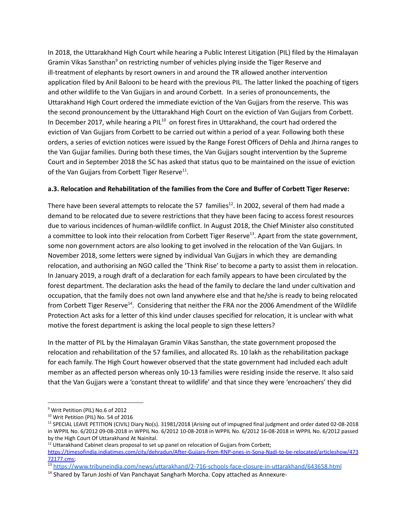In 2018, the Uttarakhand High Court while hearing a Public Interest Litigation (PIL) filed by the Himalayan Gramin Vikas Sansthan<sup>9</sup> on restricting number of vehicles plying inside the Tiger Reserve and ill-treatment of elephants by resort owners in and around the TR allowed another intervention application filed by Anil Balooni to be heard with the previous PIL. The latter linked the poaching of tigers and other wildlife to the Van Gujjars in and around Corbett. In a series of pronouncements, the Uttarakhand High Court ordered the immediate eviction of the Van Gujjars from the reserve. This was the second pronouncement by the Uttarakhand High Court on the eviction of Van Gujjars from Corbett. In December 2017, while hearing a PIL<sup>10</sup> on forest fires in Uttarakhand, the court had ordered the eviction of Van Gujjars from Corbett to be carried out within a period of a year. Following both these orders, a series of eviction notices were issued by the Range Forest Officers of Dehla and Jhirna ranges to the Van Gujjar families. During both these times, the Van Gujjars sought intervention by the Supreme Court and in September 2018 the SC has asked that status quo to be maintained on the issue of eviction of the Van Gujjars from Corbett Tiger Reserve $^{11}$ .

## **a.3. Relocation and Rehabilitation of the families from the Core and Buffer of Corbett Tiger Reserve:**

There have been several attempts to relocate the 57 families<sup>12</sup>. In 2002, several of them had made a demand to be relocated due to severe restrictions that they have been facing to access forest resources due to various incidences of human-wildlife conflict. In August 2018, the Chief Minister also constituted a committee to look into their relocation from Corbett Tiger Reserve<sup>13</sup>. Apart from the state government, some non government actors are also looking to get involved in the relocation of the Van Gujjars. In November 2018, some letters were signed by individual Van Gujjars in which they are demanding relocation, and authorising an NGO called the 'Think Rise' to become a party to assist them in relocation. In January 2019, a rough draft of a declaration for each family appears to have been circulated by the forest department. The declaration asks the head of the family to declare the land under cultivation and occupation, that the family does not own land anywhere else and that he/she is ready to being relocated from Corbett Tiger Reserve<sup>14</sup>. Considering that neither the FRA nor the 2006 Amendment of the Wildlife Protection Act asks for a letter of this kind under clauses specified for relocation, it is unclear with what motive the forest department is asking the local people to sign these letters?

In the matter of PIL by the Himalayan Gramin Vikas Sansthan, the state government proposed the relocation and rehabilitation of the 57 families, and allocated Rs. 10 lakh as the rehabilitation package for each family. The High Court however observed that the state government had included each adult member as an affected person whereas only 10-13 families were residing inside the reserve. It also said that the Van Gujjars were a 'constant threat to wildlife' and that since they were 'encroachers' they did

<sup>&</sup>lt;sup>9</sup> Writ Petition (PIL) No.6 of 2012

<sup>&</sup>lt;sup>10</sup> Writ Petition (PIL) No. 54 of 2016

<sup>&</sup>lt;sup>11</sup> SPECIAL LEAVE PETITION (CIVIL) Diary No(s). 31981/2018 (Arising out of impugned final judgment and order dated 02-08-2018 in WPPIL No. 6/2012 09-08-2018 in WPPIL No. 6/2012 10-08-2018 in WPPIL No. 6/2012 16-08-2018 in WPPIL No. 6/2012 passed by the High Court Of Uttarakhand At Nainital.

<sup>&</sup>lt;sup>12</sup> Uttarakhand Cabinet clears proposal to set up panel on relocation of Gujjars from Corbett;

[https://timesofindia.indiatimes.com/city/dehradun/After-Gujjars-from-RNP-ones-in-Sona-Nadi-to-be-relocated/articleshow/473](https://timesofindia.indiatimes.com/city/dehradun/After-Gujjars-from-RNP-ones-in-Sona-Nadi-to-be-relocated/articleshow/47372177.cms) [72177.cms;](https://timesofindia.indiatimes.com/city/dehradun/After-Gujjars-from-RNP-ones-in-Sona-Nadi-to-be-relocated/articleshow/47372177.cms)

<sup>13</sup> <https://www.tribuneindia.com/news/uttarakhand/2-716-schools-face-closure-in-uttarakhand/643658.html>

<sup>&</sup>lt;sup>14</sup> Shared by Tarun Joshi of Van Panchayat Sangharh Morcha. Copy attached as Annexure-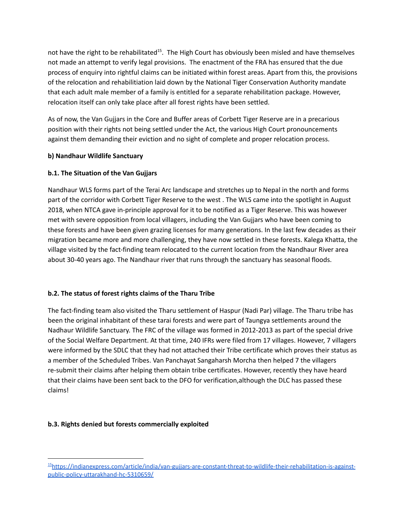not have the right to be rehabilitated<sup>15</sup>. The High Court has obviously been misled and have themselves not made an attempt to verify legal provisions. The enactment of the FRA has ensured that the due process of enquiry into rightful claims can be initiated within forest areas. Apart from this, the provisions of the relocation and rehabilitiation laid down by the National Tiger Conservation Authority mandate that each adult male member of a family is entitled for a separate rehabilitation package. However, relocation itself can only take place after all forest rights have been settled.

As of now, the Van Gujjars in the Core and Buffer areas of Corbett Tiger Reserve are in a precarious position with their rights not being settled under the Act, the various High Court pronouncements against them demanding their eviction and no sight of complete and proper relocation process.

## **b) Nandhaur Wildlife Sanctuary**

## **b.1. The Situation of the Van Gujjars**

Nandhaur WLS forms part of the Terai Arc landscape and stretches up to Nepal in the north and forms part of the corridor with Corbett Tiger Reserve to the west . The WLS came into the spotlight in August 2018, when NTCA gave in-principle approval for it to be notified as a Tiger Reserve. This was however met with severe opposition from local villagers, including the Van Gujjars who have been coming to these forests and have been given grazing licenses for many generations. In the last few decades as their migration became more and more challenging, they have now settled in these forests. Kalega Khatta, the village visited by the fact-finding team relocated to the current location from the Nandhaur River area about 30-40 years ago. The Nandhaur river that runs through the sanctuary has seasonal floods.

# **b.2. The status of forest rights claims of the Tharu Tribe**

The fact-finding team also visited the Tharu settlement of Haspur (Nadi Par) village. The Tharu tribe has been the original inhabitant of these tarai forests and were part of Taungya settlements around the Nadhaur Wildlife Sanctuary. The FRC of the village was formed in 2012-2013 as part of the special drive of the Social Welfare Department. At that time, 240 IFRs were filed from 17 villages. However, 7 villagers were informed by the SDLC that they had not attached their Tribe certificate which proves their status as a member of the Scheduled Tribes. Van Panchayat Sangaharsh Morcha then helped 7 the villagers re-submit their claims after helping them obtain tribe certificates. However, recently they have heard that their claims have been sent back to the DFO for verification,although the DLC has passed these claims!

# **b.3. Rights denied but forests commercially exploited**

<sup>15</sup>[https://indianexpress.com/article/india/van-gujjars-are-constant-threat-to-wildlife-their-rehabilitation-is-against](https://indianexpress.com/article/india/van-gujjars-are-constant-threat-to-wildlife-their-rehabilitation-is-against-public-policy-uttarakhand-hc-5310659/)[public-policy-uttarakhand-hc-5310659/](https://indianexpress.com/article/india/van-gujjars-are-constant-threat-to-wildlife-their-rehabilitation-is-against-public-policy-uttarakhand-hc-5310659/)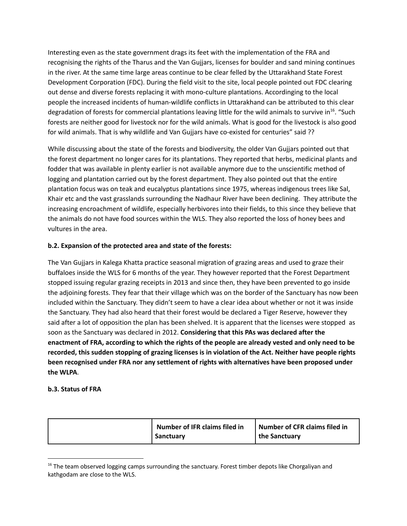Interesting even as the state government drags its feet with the implementation of the FRA and recognising the rights of the Tharus and the Van Gujjars, licenses for boulder and sand mining continues in the river. At the same time large areas continue to be clear felled by the Uttarakhand State Forest Development Corporation (FDC). During the field visit to the site, local people pointed out FDC clearing out dense and diverse forests replacing it with mono-culture plantations. Accordinging to the local people the increased incidents of human-wildlife conflicts in Uttarakhand can be attributed to this clear degradation of forests for commercial plantations leaving little for the wild animals to survive in<sup>16</sup>. "Such forests are neither good for livestock nor for the wild animals. What is good for the livestock is also good for wild animals. That is why wildlife and Van Gujjars have co-existed for centuries" said ??

While discussing about the state of the forests and biodiversity, the older Van Gujjars pointed out that the forest department no longer cares for its plantations. They reported that herbs, medicinal plants and fodder that was available in plenty earlier is not available anymore due to the unscientific method of logging and plantation carried out by the forest department. They also pointed out that the entire plantation focus was on teak and eucalyptus plantations since 1975, whereas indigenous trees like Sal, Khair etc and the vast grasslands surrounding the Nadhaur River have been declining. They attribute the increasing encroachment of wildlife, especially herbivores into their fields, to this since they believe that the animals do not have food sources within the WLS. They also reported the loss of honey bees and vultures in the area.

## **b.2. Expansion of the protected area and state of the forests:**

The Van Gujjars in Kalega Khatta practice seasonal migration of grazing areas and used to graze their buffaloes inside the WLS for 6 months of the year. They however reported that the Forest Department stopped issuing regular grazing receipts in 2013 and since then, they have been prevented to go inside the adjoining forests. They fear that their village which was on the border of the Sanctuary has now been included within the Sanctuary. They didn't seem to have a clear idea about whether or not it was inside the Sanctuary. They had also heard that their forest would be declared a Tiger Reserve, however they said after a lot of opposition the plan has been shelved. It is apparent that the licenses were stopped as soon as the Sanctuary was declared in 2012. **Considering that this PAs was declared after the** enactment of FRA, according to which the rights of the people are already vested and only need to be **recorded, this sudden stopping of grazing licenses is in violation of the Act. Neither have people rights been recognised under FRA nor any settlement of rights with alternatives have been proposed under the WLPA**.

#### **b.3. Status of FRA**

|  | Number of IFR claims filed in<br>Sanctuary | Number of CFR claims filed in<br>the Sanctuary |
|--|--------------------------------------------|------------------------------------------------|
|--|--------------------------------------------|------------------------------------------------|

 $16$  The team observed logging camps surrounding the sanctuary. Forest timber depots like Chorgaliyan and kathgodam are close to the WLS.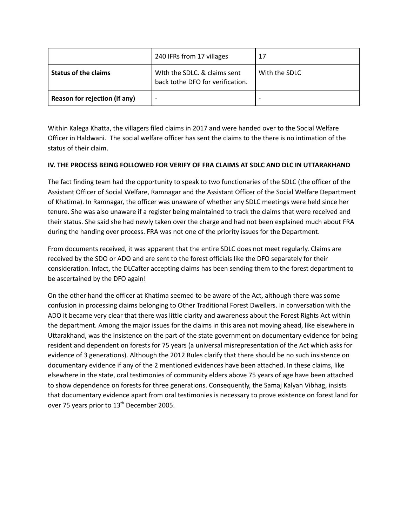|                               | 240 IFRs from 17 villages                                        | 17            |
|-------------------------------|------------------------------------------------------------------|---------------|
| <b>Status of the claims</b>   | With the SDLC. & claims sent<br>back tothe DFO for verification. | With the SDLC |
| Reason for rejection (if any) |                                                                  |               |

Within Kalega Khatta, the villagers filed claims in 2017 and were handed over to the Social Welfare Officer in Haldwani. The social welfare officer has sent the claims to the there is no intimation of the status of their claim.

## **IV. THE PROCESS BEING FOLLOWED FOR VERIFY OF FRA CLAIMS AT SDLC AND DLC IN UTTARAKHAND**

The fact finding team had the opportunity to speak to two functionaries of the SDLC (the officer of the Assistant Officer of Social Welfare, Ramnagar and the Assistant Officer of the Social Welfare Department of Khatima). In Ramnagar, the officer was unaware of whether any SDLC meetings were held since her tenure. She was also unaware if a register being maintained to track the claims that were received and their status. She said she had newly taken over the charge and had not been explained much about FRA during the handing over process. FRA was not one of the priority issues for the Department.

From documents received, it was apparent that the entire SDLC does not meet regularly. Claims are received by the SDO or ADO and are sent to the forest officials like the DFO separately for their consideration. Infact, the DLCafter accepting claims has been sending them to the forest department to be ascertained by the DFO again!

On the other hand the officer at Khatima seemed to be aware of the Act, although there was some confusion in processing claims belonging to Other Traditional Forest Dwellers. In conversation with the ADO it became very clear that there was little clarity and awareness about the Forest Rights Act within the department. Among the major issues for the claims in this area not moving ahead, like elsewhere in Uttarakhand, was the insistence on the part of the state government on documentary evidence for being resident and dependent on forests for 75 years (a universal misrepresentation of the Act which asks for evidence of 3 generations). Although the 2012 Rules clarify that there should be no such insistence on documentary evidence if any of the 2 mentioned evidences have been attached. In these claims, like elsewhere in the state, oral testimonies of community elders above 75 years of age have been attached to show dependence on forests for three generations. Consequently, the Samaj Kalyan Vibhag, insists that documentary evidence apart from oral testimonies is necessary to prove existence on forest land for over 75 years prior to  $13<sup>th</sup>$  December 2005.